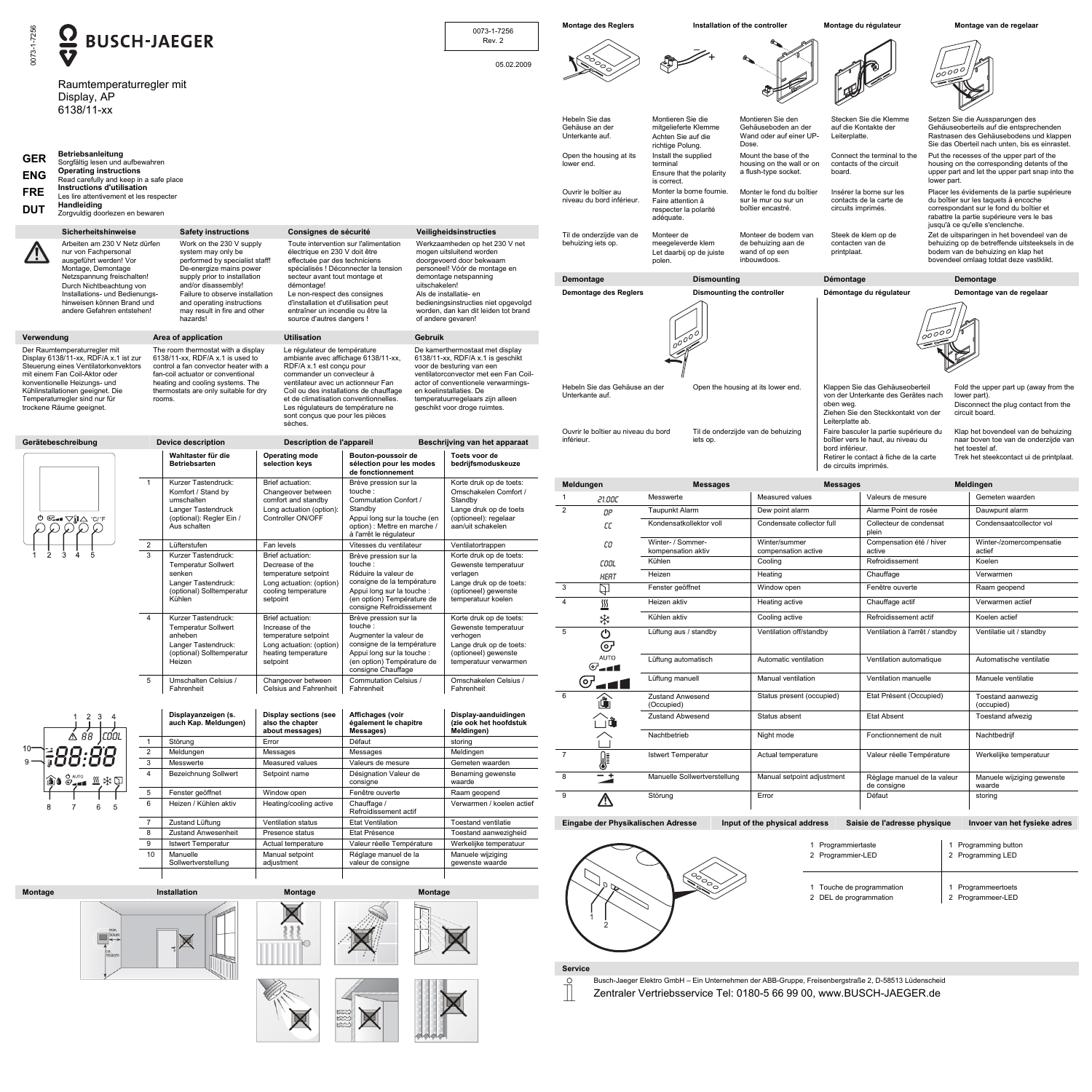|                          | $\overline{\Omega}$                                                                                                                                                                                                                                                                                                                                                                                                                                                                 |                                | <b>BUSCH-JAEGER</b>                                                                                                                                                         |                                                                                                                       |                                                                                                                                                       | 0073-1-7256<br>Rev. 2                                                                                                                                                    | <b>Montage des Reglers</b>                                            |                                                                                                                                                                                                                                 | Installation of the controller                                               | Montage du régulateur                                                                                                                                              |                                                                                                                                                                                | Montage van de regelaar                                                                                                                                                                                          |
|--------------------------|-------------------------------------------------------------------------------------------------------------------------------------------------------------------------------------------------------------------------------------------------------------------------------------------------------------------------------------------------------------------------------------------------------------------------------------------------------------------------------------|--------------------------------|-----------------------------------------------------------------------------------------------------------------------------------------------------------------------------|-----------------------------------------------------------------------------------------------------------------------|-------------------------------------------------------------------------------------------------------------------------------------------------------|--------------------------------------------------------------------------------------------------------------------------------------------------------------------------|-----------------------------------------------------------------------|---------------------------------------------------------------------------------------------------------------------------------------------------------------------------------------------------------------------------------|------------------------------------------------------------------------------|--------------------------------------------------------------------------------------------------------------------------------------------------------------------|--------------------------------------------------------------------------------------------------------------------------------------------------------------------------------|------------------------------------------------------------------------------------------------------------------------------------------------------------------------------------------------------------------|
| 073-1-7256               | <b>V</b><br>Raumtemperaturregler mit<br>Display, AP<br>6138/11-xx                                                                                                                                                                                                                                                                                                                                                                                                                   |                                |                                                                                                                                                                             |                                                                                                                       |                                                                                                                                                       | 05.02.2009                                                                                                                                                               |                                                                       |                                                                                                                                                                                                                                 |                                                                              |                                                                                                                                                                    | 1000001                                                                                                                                                                        |                                                                                                                                                                                                                  |
|                          |                                                                                                                                                                                                                                                                                                                                                                                                                                                                                     |                                |                                                                                                                                                                             |                                                                                                                       |                                                                                                                                                       |                                                                                                                                                                          | Hebeln Sie das<br>Gehäuse an der<br>Unterkante auf                    | Montieren Sie die<br>mitgelieferte Klemme<br>Achten Sie auf die<br>richtige Polung.                                                                                                                                             | Montieren Sie den<br>Gehäuseboden an der<br>Wand oder auf einer UP-<br>Dose. | Stecken Sie die Klemme<br>auf die Kontakte der<br>Leiterplatte.                                                                                                    |                                                                                                                                                                                | Setzen Sie die Aussparungen des<br>Gehäuseoberteils auf die entsprechenden<br>Rastnasen des Gehäusebodens und klappen<br>Sie das Oberteil nach unten, bis es einrastet.                                          |
| <b>GER</b><br><b>ENG</b> | <b>Betriebsanleitung</b><br>Sorgfältig lesen und aufbewahren<br><b>Operating instructions</b><br>Read carefully and keep in a safe place                                                                                                                                                                                                                                                                                                                                            |                                |                                                                                                                                                                             |                                                                                                                       |                                                                                                                                                       |                                                                                                                                                                          | Open the housing at its<br>lower end.                                 | Install the supplied<br>terminal<br>Ensure that the polarity<br>is correct.                                                                                                                                                     | Mount the base of the<br>housing on the wall or on<br>a flush-type socket.   | Connect the terminal to the<br>contacts of the circuit<br>board.                                                                                                   | lower part.                                                                                                                                                                    | Put the recesses of the upper part of the<br>housing on the corresponding detents of the<br>upper part and let the upper part snap into the                                                                      |
| <b>FRE</b><br><b>DUT</b> | Instructions d'utilisation<br>Les lire attentivement et les respecter<br>Handleiding<br>Zorgvuldig doorlezen en bewaren                                                                                                                                                                                                                                                                                                                                                             |                                |                                                                                                                                                                             |                                                                                                                       |                                                                                                                                                       |                                                                                                                                                                          | Ouvrir le boîtier au<br>niveau du bord inférieur.                     | Monter la borne fournie<br>Faire attention à<br>respecter la polarité<br>adéquate.                                                                                                                                              | Monter le fond du boîtier<br>sur le mur ou sur un<br>boîtier encastré.       | Insérer la borne sur les<br>contacts de la carte de<br>circuits imprimés.                                                                                          |                                                                                                                                                                                | Placer les évidements de la partie supérieure<br>du boîtier sur les taquets à encoche<br>correspondant sur le fond du boîtier et<br>rabattre la partie supérieure vers le bas<br>jusqu'à ce qu'elle s'enclenche. |
|                          | Sicherheitshinweise<br><b>Safety instructions</b><br>Consignes de sécurité<br>Arbeiten am 230 V Netz dürfen<br>Toute intervention sur l'alimentation<br>Work on the 230 V supply<br>nur von Fachpersonal<br>system may only be<br>électrique en 230 V doit être<br>ausgeführt werden! Vor<br>performed by specialist staff!<br>effectuée par des techniciens                                                                                                                        |                                |                                                                                                                                                                             |                                                                                                                       | Veiligheidsinstructies<br>Werkzaamheden op het 230 V net<br>mogen uitsluitend worden<br>doorgevoerd door bekwaam                                      | Til de onderzijde van de<br>behuizing iets op                                                                                                                            | Monteer de<br>meegeleverde klem<br>Let daarbij op de juiste<br>polen. | Monteer de bodem van<br>de behuizing aan de<br>wand of op een<br>inbouwdoos.                                                                                                                                                    | Steek de klem op de<br>contacten van de<br>printplaat.                       |                                                                                                                                                                    | Zet de uitsparingen in het bovendeel van de<br>behuizing op de betreffende uitsteeksels in de<br>bodem van de behuizing en klap het<br>bovendeel omlaag totdat deze vastklikt. |                                                                                                                                                                                                                  |
|                          | Montage, Demontage<br>Netzspannung freischalten!                                                                                                                                                                                                                                                                                                                                                                                                                                    |                                | De-energize mains power<br>supply prior to installation                                                                                                                     | secteur avant tout montage et                                                                                         | spécialisés ! Déconnecter la tension                                                                                                                  | personeel! Vóór de montage en<br>demontage netspanning<br>uitschakelen!<br>Als de installatie- en                                                                        | Demontage                                                             | <b>Dismounting</b>                                                                                                                                                                                                              |                                                                              | Démontage                                                                                                                                                          |                                                                                                                                                                                | Demontage                                                                                                                                                                                                        |
|                          | Durch Nichtbeachtung von<br>Installations- und Bedienungs-                                                                                                                                                                                                                                                                                                                                                                                                                          |                                | and/or disassembly!<br>Failure to observe installation                                                                                                                      | démontage!<br>Le non-respect des consignes                                                                            |                                                                                                                                                       |                                                                                                                                                                          | <b>Demontage des Reglers</b>                                          |                                                                                                                                                                                                                                 | Dismounting the controller                                                   | Démontage du régulateur                                                                                                                                            |                                                                                                                                                                                | Demontage van de regelaar                                                                                                                                                                                        |
|                          | hinweisen können Brand und<br>andere Gefahren entstehen!                                                                                                                                                                                                                                                                                                                                                                                                                            |                                | and operating instructions<br>may result in fire and other<br>hazards!                                                                                                      | d'installation et d'utilisation peut<br>entraîner un incendie ou être la<br>source d'autres dangers !                 |                                                                                                                                                       | bedieningsinstructies niet opgevolgd<br>worden, dan kan dit leiden tot brand<br>of andere gevaren!                                                                       |                                                                       |                                                                                                                                                                                                                                 |                                                                              |                                                                                                                                                                    | 1000001                                                                                                                                                                        |                                                                                                                                                                                                                  |
| Verwendung               | Der Raumtemperaturregler mit<br>Display 6138/11-xx, RDF/A x.1 ist zur<br>Steuerung eines Ventilatorkonvektors                                                                                                                                                                                                                                                                                                                                                                       |                                | Area of application<br>The room thermostat with a display<br>6138/11-xx, RDF/A x.1 is used to<br>control a fan convector heater with a<br>fan-coil actuator or conventional | <b>Utilisation</b><br>Le régulateur de température<br>ambiante avec affichage 6138/11-xx,<br>RDF/A x.1 est conçu pour |                                                                                                                                                       | Gebruik<br>De kamerthermostaat met display<br>6138/11-xx, RDF/A x.1 is geschikt<br>voor de besturing van een<br>ventilatorconvector met een Fan Coil-                    |                                                                       |                                                                                                                                                                                                                                 |                                                                              |                                                                                                                                                                    |                                                                                                                                                                                |                                                                                                                                                                                                                  |
|                          | mit einem Fan Coil-Aktor oder<br>commander un convecteur à<br>konventionelle Heizungs- und<br>heating and cooling systems. The<br>ventilateur avec un actionneur Fan<br>Kühlinstallationen geeignet. Die<br>thermostats are only suitable for dry<br>Coil ou des installations de chauffage<br>Temperaturregler sind nur für<br>et de climatisation conventionnelles.<br>rooms.<br>trockene Räume geeignet.<br>Les régulateurs de température ne<br>sont conçus que pour les pièces |                                | actor of conventionele verwarmings-<br>en koelinstallaties. De<br>temperatuurregelaars zijn alleen<br>geschikt voor droge ruimtes.                                          | Hebeln Sie das Gehäuse an der<br>Unterkante auf                                                                       |                                                                                                                                                       | Open the housing at its lower end.                                                                                                                                       | oben weg.                                                             | Klappen Sie das Gehäuseoberteil<br>Fold the upper part up (away from the<br>von der Unterkante des Gerätes nach<br>lower part)<br>Disconnect the plug contact from the<br>Ziehen Sie den Steckkontakt von der<br>circuit board. |                                                                              |                                                                                                                                                                    |                                                                                                                                                                                |                                                                                                                                                                                                                  |
|                          |                                                                                                                                                                                                                                                                                                                                                                                                                                                                                     |                                |                                                                                                                                                                             | sèches.                                                                                                               |                                                                                                                                                       |                                                                                                                                                                          |                                                                       |                                                                                                                                                                                                                                 |                                                                              | Leiterplatte ab.                                                                                                                                                   |                                                                                                                                                                                |                                                                                                                                                                                                                  |
|                          | Gerätebeschreibung                                                                                                                                                                                                                                                                                                                                                                                                                                                                  |                                | <b>Device description</b><br>Wahltaster für die<br><b>Betriebsarten</b>                                                                                                     | <b>Description de l'appareil</b><br><b>Operating mode</b><br>selection keys                                           | Bouton-poussoir de<br>sélection pour les modes                                                                                                        | Beschrijving van het apparaat<br>Toets voor de<br>bedrijfsmoduskeuze                                                                                                     | Ouvrir le boîtier au niveau du bord<br>inférieur.                     | iets op.                                                                                                                                                                                                                        | Til de onderzijde van de behuizing                                           | Faire basculer la partie supérieure du<br>boîtier vers le haut, au niveau du<br>bord inférieur.<br>Retirer le contact à fiche de la carte<br>de circuits imprimés. |                                                                                                                                                                                | Klap het bovendeel van de behuizing<br>naar boven toe van de onderzijde van<br>het toestel af<br>Trek het steekcontact ui de printplaat.                                                                         |
|                          |                                                                                                                                                                                                                                                                                                                                                                                                                                                                                     | $\overline{1}$                 | Kurzer Tastendruck:                                                                                                                                                         | Brief actuation:                                                                                                      | de fonctionnement<br>Brève pression sur la                                                                                                            | Korte druk op de toets:                                                                                                                                                  |                                                                       |                                                                                                                                                                                                                                 |                                                                              |                                                                                                                                                                    |                                                                                                                                                                                |                                                                                                                                                                                                                  |
|                          | ◔ <del>·</del> --▽  △°C/F<br>ଠଠଠଠଠ                                                                                                                                                                                                                                                                                                                                                                                                                                                  |                                | Komfort / Stand by                                                                                                                                                          | Changeover between                                                                                                    | touche:                                                                                                                                               | Omschakelen Comfort /                                                                                                                                                    | Meldungen                                                             | <b>Messages</b><br>Messwerte                                                                                                                                                                                                    | Measured values                                                              | <b>Messages</b><br>Valeurs de mesure                                                                                                                               |                                                                                                                                                                                | Meldingen<br>Gemeten waarden                                                                                                                                                                                     |
|                          |                                                                                                                                                                                                                                                                                                                                                                                                                                                                                     |                                | umschalten<br>Langer Tastendruck                                                                                                                                            | comfort and standby<br>Long actuation (option):                                                                       | Commutation Confort /<br>Standby                                                                                                                      | Standby<br>Lange druk op de toets                                                                                                                                        | 21.00C<br>DΡ                                                          | Taupunkt Alarm                                                                                                                                                                                                                  | Dew point alarm                                                              | Alarme Point de rosée                                                                                                                                              |                                                                                                                                                                                | Dauwpunt alarm                                                                                                                                                                                                   |
|                          |                                                                                                                                                                                                                                                                                                                                                                                                                                                                                     |                                | (optional): Regler Ein /<br>Aus schalten                                                                                                                                    | Controller ON/OFF                                                                                                     | Appui long sur la touche (en<br>option) : Mettre en marche /                                                                                          | (optioneel): regelaar<br>aan/uit schakelen                                                                                                                               | СC                                                                    | Kondensatkollektor voll                                                                                                                                                                                                         | Condensate collector full                                                    | Collecteur de condensat                                                                                                                                            |                                                                                                                                                                                | Condensaatcollector vol                                                                                                                                                                                          |
|                          |                                                                                                                                                                                                                                                                                                                                                                                                                                                                                     | $\overline{2}$                 | Lüfterstufen                                                                                                                                                                | Fan levels                                                                                                            | à l'arrêt le régulateur<br>Vitesses du ventilateur                                                                                                    | Ventilatortrappen                                                                                                                                                        | cо                                                                    | Winter- / Sommer-                                                                                                                                                                                                               | Winter/summer                                                                | plein<br>Compensation été / hiver                                                                                                                                  |                                                                                                                                                                                | Winter-/zomercompensatie                                                                                                                                                                                         |
|                          |                                                                                                                                                                                                                                                                                                                                                                                                                                                                                     | $\mathbf{3}$                   | Kurzer Tastendruck:                                                                                                                                                         | Brief actuation:                                                                                                      | Brève pression sur la                                                                                                                                 | Korte druk op de toets:                                                                                                                                                  |                                                                       | kompensation aktiv<br>Kühlen                                                                                                                                                                                                    | compensation active<br>Cooling                                               | active<br>Refroidissement                                                                                                                                          |                                                                                                                                                                                | actief<br>Koelen                                                                                                                                                                                                 |
|                          |                                                                                                                                                                                                                                                                                                                                                                                                                                                                                     | $\overline{4}$                 | <b>Temperatur Sollwert</b><br>senken                                                                                                                                        | Decrease of the<br>temperature setpoint<br>Long actuation: (option)<br>cooling temperature<br>setpoint                | touche:<br>Réduire la valeur de<br>consigne de la température<br>Appui long sur la touche :<br>(en option) Température de<br>consigne Refroidissement | Gewenste temperatuur<br>verlagen<br>Lange druk op de toets:<br>(optioneel) gewenste<br>temperatuur koelen<br>Korte druk op de toets:<br>Gewenste temperatuur<br>verhogen | COOL<br><b>HERT</b>                                                   | Heizen                                                                                                                                                                                                                          | Heating                                                                      | Chauffage                                                                                                                                                          |                                                                                                                                                                                | Verwarmen                                                                                                                                                                                                        |
|                          |                                                                                                                                                                                                                                                                                                                                                                                                                                                                                     |                                | Langer Tastendruck:<br>(optional) Solltemperatur                                                                                                                            |                                                                                                                       |                                                                                                                                                       |                                                                                                                                                                          | $\mathbf{3}$<br>₽                                                     | Fenster geöffnet                                                                                                                                                                                                                | Window open                                                                  | Fenêtre ouverte                                                                                                                                                    |                                                                                                                                                                                | Raam geopend                                                                                                                                                                                                     |
|                          |                                                                                                                                                                                                                                                                                                                                                                                                                                                                                     |                                | Kühlen                                                                                                                                                                      |                                                                                                                       |                                                                                                                                                       |                                                                                                                                                                          | $\overline{4}$<br>$\frac{ss}{s}$                                      | Heizen aktiv                                                                                                                                                                                                                    | Heating active                                                               | Chauffage actif                                                                                                                                                    |                                                                                                                                                                                | Verwarmen actief                                                                                                                                                                                                 |
|                          |                                                                                                                                                                                                                                                                                                                                                                                                                                                                                     |                                | Kurzer Tastendruck:                                                                                                                                                         | Brief actuation:                                                                                                      | Brève pression sur la<br>touche:<br>Augmenter la valeur de                                                                                            |                                                                                                                                                                          | ''≭                                                                   | Kühlen aktiv                                                                                                                                                                                                                    | Cooling active                                                               | Refroidissement actif                                                                                                                                              |                                                                                                                                                                                | Koelen actief                                                                                                                                                                                                    |
|                          |                                                                                                                                                                                                                                                                                                                                                                                                                                                                                     |                                | <b>Temperatur Sollwert</b><br>anheben                                                                                                                                       | Increase of the<br>temperature setpoint                                                                               |                                                                                                                                                       |                                                                                                                                                                          | $5\overline{5}$<br>ტ                                                  | Lüftung aus / standby                                                                                                                                                                                                           | Ventilation off/standby                                                      | Ventilation à l'arrêt / standby                                                                                                                                    |                                                                                                                                                                                | Ventilatie uit / standby                                                                                                                                                                                         |
|                          |                                                                                                                                                                                                                                                                                                                                                                                                                                                                                     | 5                              | Langer Tastendruck:<br>(optional) Solltemperatur<br>Heizen                                                                                                                  | Long actuation: (option)<br>heating temperature<br>setpoint                                                           | consigne de la température<br>Appui long sur la touche<br>(en option) Température de<br>consigne Chauffage                                            | Lange druk op de toets:<br>(optioneel) gewenste<br>temperatuur verwarmen                                                                                                 | $\bigcirc$<br>AUTO<br>$\sigma$ --1                                    | Lüftung automatisch                                                                                                                                                                                                             | Automatic ventilation                                                        | Ventilation automatique                                                                                                                                            |                                                                                                                                                                                | Automatische ventilatie                                                                                                                                                                                          |
|                          |                                                                                                                                                                                                                                                                                                                                                                                                                                                                                     |                                | Umschalten Celsius /<br>Fahrenheit                                                                                                                                          | Changeover between<br><b>Celsius and Fahrenheit</b>                                                                   | Commutation Celsius /<br>Fahrenheit                                                                                                                   | Omschakelen Celsius /<br>Fahrenheit                                                                                                                                      | $\sigma$ -11                                                          | Lüftung manuell                                                                                                                                                                                                                 | Manual ventilation                                                           | Ventilation manuelle                                                                                                                                               |                                                                                                                                                                                | Manuele ventilatie                                                                                                                                                                                               |
|                          |                                                                                                                                                                                                                                                                                                                                                                                                                                                                                     |                                |                                                                                                                                                                             |                                                                                                                       |                                                                                                                                                       |                                                                                                                                                                          | 6<br>$\mathbf{\hat{u}}$                                               | <b>Zustand Anwesend</b><br>(Occupied)                                                                                                                                                                                           | Status present (occupied)                                                    | Etat Présent (Occupied)                                                                                                                                            |                                                                                                                                                                                | Toestand aanwezig<br>(occupied)                                                                                                                                                                                  |
|                          | $1 \quad 2 \quad 3 \quad 4$<br>$\triangle$ 88   COOL<br>1:88:88<br>$\begin{picture}(20,10) \put(0,0){\line(1,0){10}} \put(15,0){\line(1,0){10}} \put(15,0){\line(1,0){10}} \put(15,0){\line(1,0){10}} \put(15,0){\line(1,0){10}} \put(15,0){\line(1,0){10}} \put(15,0){\line(1,0){10}} \put(15,0){\line(1,0){10}} \put(15,0){\line(1,0){10}} \put(15,0){\line(1,0){10}} \put(15,0){\line(1,0){10}} \put(15,0){\line(1$                                                              |                                | Displayanzeigen (s.<br>auch Kap. Meldungen)                                                                                                                                 | <b>Display sections (see</b><br>also the chapter                                                                      | Affichages (voir<br>également le chapitre                                                                                                             | Display-aanduidingen<br>(zie ook het hoofdstuk                                                                                                                           |                                                                       | <b>Zustand Abwesend</b>                                                                                                                                                                                                         | Status absent                                                                | <b>Etat Absent</b>                                                                                                                                                 |                                                                                                                                                                                | Toestand afwezig                                                                                                                                                                                                 |
|                          |                                                                                                                                                                                                                                                                                                                                                                                                                                                                                     | $\overline{1}$                 | Störung                                                                                                                                                                     | about messages)<br>Error                                                                                              | Messages)<br>Défaut                                                                                                                                   | Meldingen)<br>storing                                                                                                                                                    |                                                                       | Nachtbetrieb                                                                                                                                                                                                                    | Night mode                                                                   | Fonctionnement de nuit                                                                                                                                             |                                                                                                                                                                                | Nachtbedrijf                                                                                                                                                                                                     |
|                          |                                                                                                                                                                                                                                                                                                                                                                                                                                                                                     | $\overline{2}$                 | Meldungen                                                                                                                                                                   | Messages                                                                                                              | Messages                                                                                                                                              | Meldingen                                                                                                                                                                | $\overline{7}$                                                        | <b>Istwert Temperatur</b>                                                                                                                                                                                                       | Actual temperature                                                           | Valeur réelle Température                                                                                                                                          |                                                                                                                                                                                | Werkelijke temperatuur                                                                                                                                                                                           |
|                          |                                                                                                                                                                                                                                                                                                                                                                                                                                                                                     | $\mathbf{3}$<br>$\overline{4}$ | Messwerte<br><b>Bezeichnung Sollwert</b>                                                                                                                                    | Measured values<br>Setpoint name                                                                                      | Valeurs de mesure<br>Désignation Valeur de                                                                                                            | Gemeten waarden<br>Benaming gewenste                                                                                                                                     | J<br>$- +$                                                            |                                                                                                                                                                                                                                 |                                                                              |                                                                                                                                                                    |                                                                                                                                                                                |                                                                                                                                                                                                                  |
|                          |                                                                                                                                                                                                                                                                                                                                                                                                                                                                                     | 5                              | Fenster geöffnet                                                                                                                                                            | Window open                                                                                                           | consigne<br>Fenêtre ouverte                                                                                                                           | waarde<br>Raam geopend                                                                                                                                                   | 8                                                                     | Manuelle Sollwertverstellung                                                                                                                                                                                                    | Manual setpoint adjustment                                                   | Réglage manuel de la valeur<br>de consigne                                                                                                                         |                                                                                                                                                                                | Manuele wijziging gewenste<br>waarde                                                                                                                                                                             |
|                          | 6<br>.5                                                                                                                                                                                                                                                                                                                                                                                                                                                                             | 6                              | Heizen / Kühlen aktiv                                                                                                                                                       | Heating/cooling active                                                                                                | Chauffage /                                                                                                                                           | Verwarmen / koelen actief                                                                                                                                                | 9<br>$\Delta$                                                         | Störung                                                                                                                                                                                                                         | Error                                                                        | Défaut                                                                                                                                                             |                                                                                                                                                                                | storing                                                                                                                                                                                                          |
|                          |                                                                                                                                                                                                                                                                                                                                                                                                                                                                                     | $\overline{7}$                 | Zustand Lüftung                                                                                                                                                             | Ventilation status                                                                                                    | Refroidissement actif<br><b>Etat Ventilation</b>                                                                                                      | <b>Toestand ventilatie</b>                                                                                                                                               | Eingabe der Physikalischen Adresse                                    |                                                                                                                                                                                                                                 | Input of the physical address                                                | Saisie de l'adresse physique                                                                                                                                       |                                                                                                                                                                                | Invoer van het fysieke adres                                                                                                                                                                                     |
|                          |                                                                                                                                                                                                                                                                                                                                                                                                                                                                                     | 8                              | <b>Zustand Anwesenheit</b>                                                                                                                                                  | Presence status                                                                                                       | Etat Présence                                                                                                                                         | Toestand aanwezigheid                                                                                                                                                    |                                                                       |                                                                                                                                                                                                                                 |                                                                              |                                                                                                                                                                    |                                                                                                                                                                                |                                                                                                                                                                                                                  |
|                          |                                                                                                                                                                                                                                                                                                                                                                                                                                                                                     | 9<br>10                        | <b>Istwert Temperatur</b><br>Manuelle                                                                                                                                       | Actual temperature<br>Manual setpoint                                                                                 | Valeur réelle Température<br>Réglage manuel de la                                                                                                     | Werkelijke temperatuur<br>Manuele wijziging                                                                                                                              |                                                                       |                                                                                                                                                                                                                                 |                                                                              | 1 Programmiertaste<br>2 Programmier-LED                                                                                                                            |                                                                                                                                                                                | 1 Programming button<br>2 Programming LED                                                                                                                                                                        |
|                          |                                                                                                                                                                                                                                                                                                                                                                                                                                                                                     |                                | Sollwertverstellung                                                                                                                                                         | adjustment                                                                                                            | valeur de consigne                                                                                                                                    | gewenste waarde                                                                                                                                                          |                                                                       |                                                                                                                                                                                                                                 |                                                                              |                                                                                                                                                                    |                                                                                                                                                                                |                                                                                                                                                                                                                  |
|                          |                                                                                                                                                                                                                                                                                                                                                                                                                                                                                     |                                | Installation                                                                                                                                                                |                                                                                                                       |                                                                                                                                                       |                                                                                                                                                                          | $\sqrt{2}$                                                            |                                                                                                                                                                                                                                 |                                                                              | 1 Touche de programmation                                                                                                                                          |                                                                                                                                                                                | 1 Programmeertoets                                                                                                                                                                                               |
| Montage                  | $\underbrace{\begin{matrix}\n 50 \text{cm} \\ \text{60}\n \end{matrix}}_{\text{150cm}}$                                                                                                                                                                                                                                                                                                                                                                                             |                                | $\mathbb{R}$                                                                                                                                                                | Montage                                                                                                               |                                                                                                                                                       | Montage                                                                                                                                                                  | <b>Service</b><br>$\circ$                                             |                                                                                                                                                                                                                                 |                                                                              | 2 DEL de programmation<br>Busch-Jaeger Elektro GmbH - Ein Unternehmen der ABB-Gruppe, Freisenbergstraße 2, D-58513 Lüdenscheid                                     |                                                                                                                                                                                | 2 Programmeer-LED                                                                                                                                                                                                |
|                          |                                                                                                                                                                                                                                                                                                                                                                                                                                                                                     |                                |                                                                                                                                                                             |                                                                                                                       | 還又                                                                                                                                                    |                                                                                                                                                                          |                                                                       |                                                                                                                                                                                                                                 |                                                                              | Zentraler Vertriebsservice Tel: 0180-5 66 99 00, www.BUSCH-JAEGER.de                                                                                               |                                                                                                                                                                                |                                                                                                                                                                                                                  |